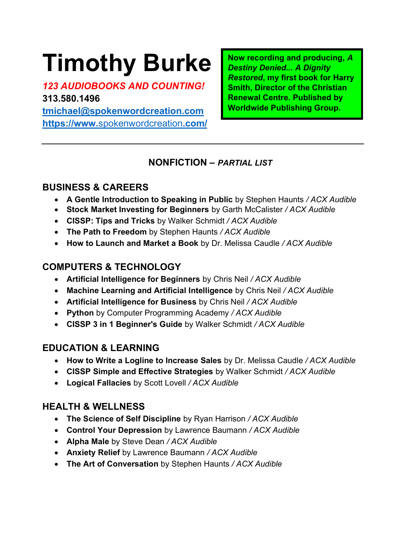# Timothy Burke

123 AUDIOBOOKS AND COUNTING! 313.580.1496 tmichael@spokenwordcreation.com https://www.spokenwordcreation.com/ Now recording and producing, A Destiny Denied... A Dignity Restored, my first book for Harry Smith, Director of the Christian Renewal Centre. Published by Worldwide Publishing Group.

#### NONFICTION – PARTIAL LIST

#### BUSINESS & CAREERS

- A Gentle Introduction to Speaking in Public by Stephen Haunts / ACX Audible
- Stock Market Investing for Beginners by Garth McCalister / ACX Audible
- CISSP: Tips and Tricks by Walker Schmidt / ACX Audible
- The Path to Freedom by Stephen Haunts / ACX Audible
- How to Launch and Market a Book by Dr. Melissa Caudle / ACX Audible

# COMPUTERS & TECHNOLOGY

- Artificial Intelligence for Beginners by Chris Neil / ACX Audible
- Machine Learning and Artificial Intelligence by Chris Neil / ACX Audible
- Artificial Intelligence for Business by Chris Neil / ACX Audible
- Python by Computer Programming Academy / ACX Audible
- CISSP 3 in 1 Beginner's Guide by Walker Schmidt / ACX Audible

# EDUCATION & LEARNING

- How to Write a Logline to Increase Sales by Dr. Melissa Caudle / ACX Audible
- CISSP Simple and Effective Strategies by Walker Schmidt / ACX Audible
- Logical Fallacies by Scott Lovell / ACX Audible

# HEALTH & WELLNESS

- The Science of Self Discipline by Ryan Harrison / ACX Audible
- Control Your Depression by Lawrence Baumann / ACX Audible
- Alpha Male by Steve Dean / ACX Audible
- Anxiety Relief by Lawrence Baumann / ACX Audible
- The Art of Conversation by Stephen Haunts / ACX Audible